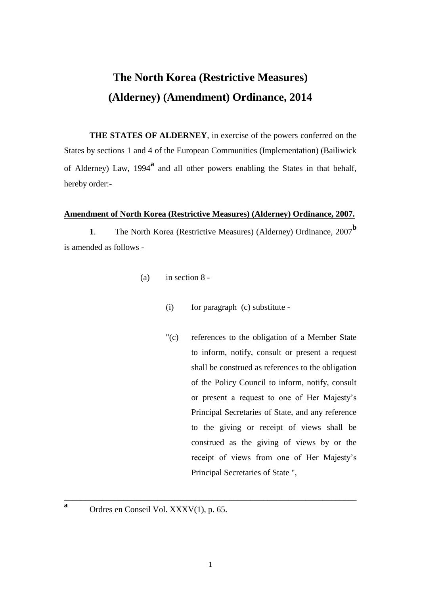# **The North Korea (Restrictive Measures) (Alderney) (Amendment) Ordinance, 2014**

**THE STATES OF ALDERNEY**, in exercise of the powers conferred on the States by sections 1 and 4 of the European Communities (Implementation) (Bailiwick of Alderney) Law, 1994**<sup>a</sup>** and all other powers enabling the States in that behalf, hereby order:-

## **Amendment of North Korea (Restrictive Measures) (Alderney) Ordinance, 2007.**

**<sup>1</sup>**. The North Korea (Restrictive Measures) (Alderney) Ordinance, 2007**<sup>b</sup>** is amended as follows -

- (a) in section 8
	- (i) for paragraph (c) substitute -
	- "(c) references to the obligation of a Member State to inform, notify, consult or present a request shall be construed as references to the obligation of the Policy Council to inform, notify, consult or present a request to one of Her Majesty's Principal Secretaries of State, and any reference to the giving or receipt of views shall be construed as the giving of views by or the receipt of views from one of Her Majesty's Principal Secretaries of State ",
- Ordres en Conseil Vol. XXXV(1), p. 65.

**a**

\_\_\_\_\_\_\_\_\_\_\_\_\_\_\_\_\_\_\_\_\_\_\_\_\_\_\_\_\_\_\_\_\_\_\_\_\_\_\_\_\_\_\_\_\_\_\_\_\_\_\_\_\_\_\_\_\_\_\_\_\_\_\_\_\_\_\_\_\_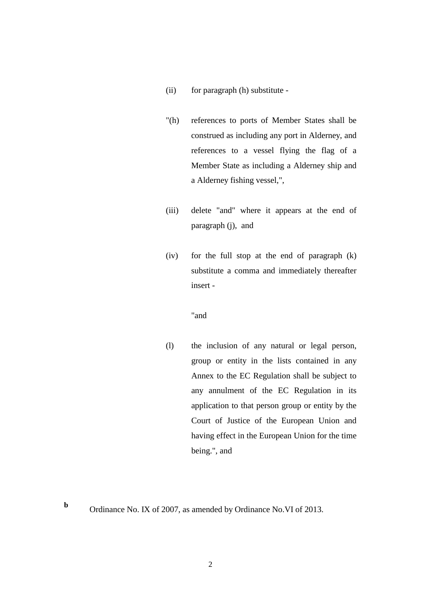- (ii) for paragraph (h) substitute -
- "(h) references to ports of Member States shall be construed as including any port in Alderney, and references to a vessel flying the flag of a Member State as including a Alderney ship and a Alderney fishing vessel,",
- (iii) delete "and" where it appears at the end of paragraph (j), and
- (iv) for the full stop at the end of paragraph (k) substitute a comma and immediately thereafter insert -

#### "and

(l) the inclusion of any natural or legal person, group or entity in the lists contained in any Annex to the EC Regulation shall be subject to any annulment of the EC Regulation in its application to that person group or entity by the Court of Justice of the European Union and having effect in the European Union for the time being.", and

**b**

Ordinance No. IX of 2007, as amended by Ordinance No.VI of 2013.